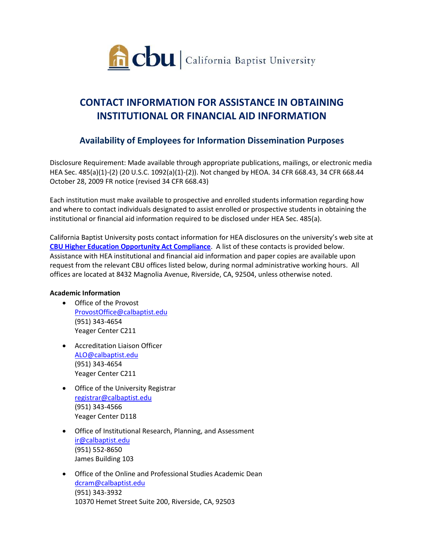

# **CONTACT INFORMATION FOR ASSISTANCE IN OBTAINING INSTITUTIONAL OR FINANCIAL AID INFORMATION**

# **Availability of Employees for Information Dissemination Purposes**

Disclosure Requirement: Made available through appropriate publications, mailings, or electronic media HEA Sec. 485(a)(1)-(2) (20 U.S.C. 1092(a)(1)-(2)). Not changed by HEOA. 34 CFR 668.43, 34 CFR 668.44 October 28, 2009 FR notice (revised 34 CFR 668.43)

Each institution must make available to prospective and enrolled students information regarding how and where to contact individuals designated to assist enrolled or prospective students in obtaining the institutional or financial aid information required to be disclosed under HEA Sec. 485(a).

California Baptist University posts contact information for HEA disclosures on the university's web site at **[CBU Higher Education Opportunity Act Compliance](http://www.calbaptist.edu/explore-cbu/about/higher-education-opportunity-act-compliance/)**. A list of these contacts is provided below. Assistance with HEA institutional and financial aid information and paper copies are available upon request from the relevant CBU offices listed below, during normal administrative working hours. All offices are located at 8432 Magnolia Avenue, Riverside, CA, 92504, unless otherwise noted.

# **Academic Information**

- Office of the Provost [ProvostOffice@calbaptist.edu](mailto:ProvostOffice@calbaptist.edu) (951) 343-4654 Yeager Center C211
- Accreditation Liaison Officer [ALO@calbaptist.edu](mailto:ALO@calbaptist.edu) (951) 343-4654 Yeager Center C211
- **•** Office of the University Registrar [registrar@calbaptist.edu](mailto:registrar@calbaptist.edu)  (951) 343-4566 Yeager Center D118
- Office of Institutional Research, Planning, and Assessment [ir@calbaptist.edu](mailto:ir@calbaptist.edu) (951) 552-8650 James Building 103
- Office of the Online and Professional Studies Academic Dean [dcram@calbaptist.edu](mailto:dcram@calbaptist.edu)  (951) 343-3932 10370 Hemet Street Suite 200, Riverside, CA, 92503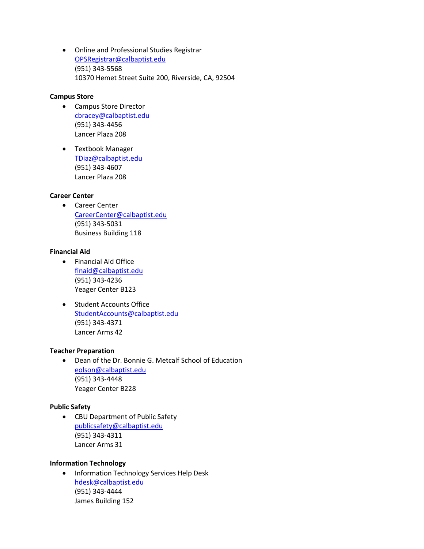Online and Professional Studies Registrar [OPSRegistrar@calbaptist.edu](mailto:OPSRegistrar@calbaptist.edu)  (951) 343-5568 10370 Hemet Street Suite 200, Riverside, CA, 92504

# **Campus Store**

- Campus Store Director [cbracey@calbaptist.edu](mailto:cbracey@calbaptist.edu) (951) 343-4456 Lancer Plaza 208
- Textbook Manager [TDiaz@calbaptist.edu](mailto:TDiaz@calbaptist.edu) (951) 343-4607 Lancer Plaza 208

# **Career Center**

 Career Center [CareerCenter@calbaptist.edu](mailto:CareerCenter@calbaptist.edu) (951) 343-5031 Business Building 118

# **Financial Aid**

- Financial Aid Office [finaid@calbaptist.edu](mailto:finaid@calbaptist.edu) (951) 343-4236 Yeager Center B123
- **•** Student Accounts Office [StudentAccounts@calbaptist.edu](mailto:StudentAccounts@calbaptist.edu) (951) 343-4371 Lancer Arms 42

# **Teacher Preparation**

 Dean of the Dr. Bonnie G. Metcalf School of Education [eolson@calbaptist.edu](mailto:eolson@calbaptist.edu) (951) 343-4448 Yeager Center B228

#### **Public Safety**

 CBU Department of Public Safety [publicsafety@calbaptist.edu](mailto:publicsafety@calbaptist.edu) (951) 343-4311 Lancer Arms 31

#### **Information Technology**

**• Information Technology Services Help Desk** [hdesk@calbaptist.edu](mailto:hdesk@calbaptist.edu) (951) 343-4444 James Building 152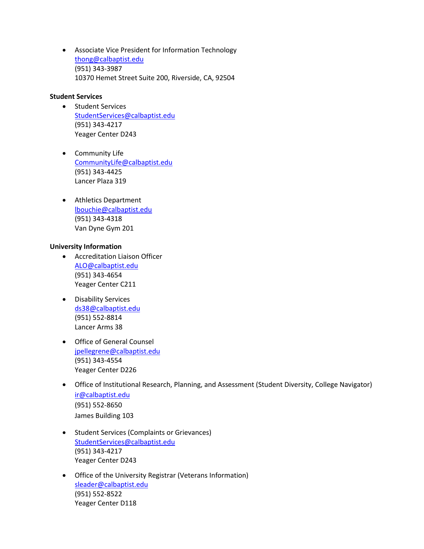Associate Vice President for Information Technology [thong@calbaptist.edu](mailto:thong@calbaptist.edu) (951) 343-3987 10370 Hemet Street Suite 200, Riverside, CA, 92504

# **Student Services**

- Student Services [StudentServices@calbaptist.edu](mailto:StudentServices@calbaptist.edu)  (951) 343-4217 Yeager Center D243
- Community Life [CommunityLife@calbaptist.edu](mailto:CommunityLife@calbaptist.edu) (951) 343-4425 Lancer Plaza 319
- Athletics Department [lbouchie@calbaptist.edu](mailto:lbouchie@calbaptist.edu) (951) 343-4318 Van Dyne Gym 201

# **University Information**

- Accreditation Liaison Officer [ALO@calbaptist.edu](mailto:ALO@calbaptist.edu) (951) 343-4654 Yeager Center C211
- Disability Services [ds38@calbaptist.edu](mailto:ds38@calbaptist.edu) (951) 552-8814 Lancer Arms 38
- Office of General Counsel [jpellegrene@calbaptist.edu](mailto:jpellegrene@calbaptist.edu) (951) 343-4554 Yeager Center D226
- Office of Institutional Research, Planning, and Assessment (Student Diversity, College Navigator) [ir@calbaptist.edu](mailto:ir@calbaptist.edu) (951) 552-8650 James Building 103
- **•** Student Services (Complaints or Grievances) [StudentServices@calbaptist.edu](mailto:StudentServices@calbaptist.edu)  (951) 343-4217 Yeager Center D243
- Office of the University Registrar (Veterans Information) [sleader@calbaptist.edu](mailto:sleader@calbaptist.edu) (951) 552-8522 Yeager Center D118